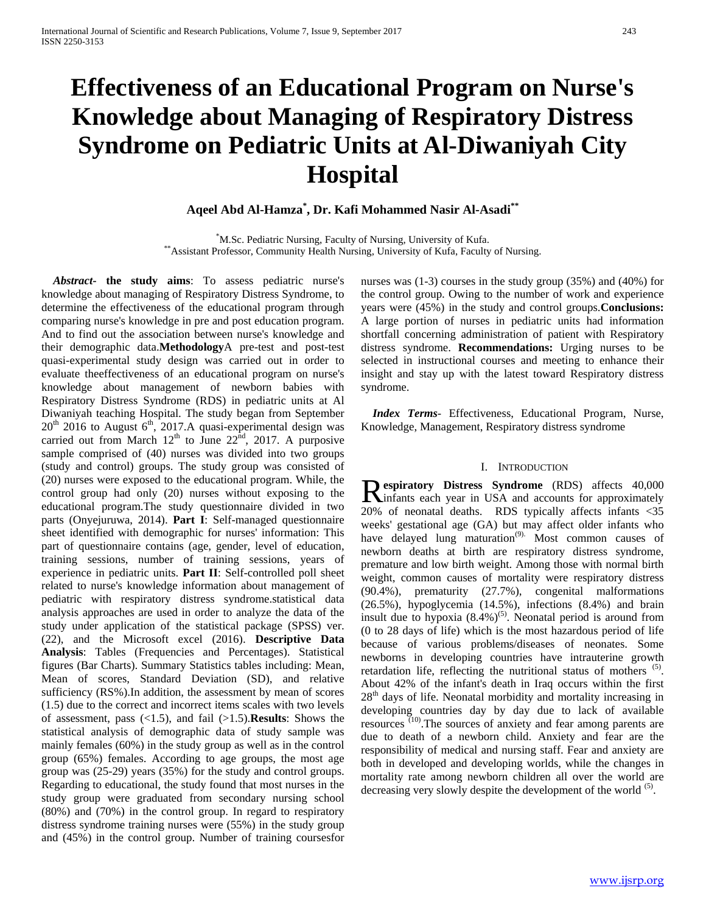# **Effectiveness of an Educational Program on Nurse's Knowledge about Managing of Respiratory Distress Syndrome on Pediatric Units at Al-Diwaniyah City Hospital**

## **Aqeel Abd Al-Hamza\* , Dr. Kafi Mohammed Nasir Al-Asadi\*\***

\*M.Sc. Pediatric Nursing, Faculty of Nursing, University of Kufa. \*\*Assistant Professor, Community Health Nursing, University of Kufa, Faculty of Nursing.

 *Abstract***- the study aims**: To assess pediatric nurse's knowledge about managing of Respiratory Distress Syndrome, to determine the effectiveness of the educational program through comparing nurse's knowledge in pre and post education program. And to find out the association between nurse's knowledge and their demographic data.**Methodology**A pre-test and post-test quasi-experimental study design was carried out in order to evaluate theeffectiveness of an educational program on nurse's knowledge about management of newborn babies with Respiratory Distress Syndrome (RDS) in pediatric units at Al Diwaniyah teaching Hospital. The study began from September  $20^{th}$  2016 to August 6<sup>th</sup>, 2017.A quasi-experimental design was carried out from March  $12<sup>th</sup>$  to June  $22<sup>nd</sup>$ , 2017. A purposive sample comprised of (40) nurses was divided into two groups (study and control) groups. The study group was consisted of (20) nurses were exposed to the educational program. While, the control group had only (20) nurses without exposing to the educational program.The study questionnaire divided in two parts (Onyejuruwa, 2014). **Part I**: Self-managed questionnaire sheet identified with demographic for nurses' information: This part of questionnaire contains (age, gender, level of education, training sessions, number of training sessions, years of experience in pediatric units. **Part II**: Self-controlled poll sheet related to nurse's knowledge information about management of pediatric with respiratory distress syndrome.statistical data analysis approaches are used in order to analyze the data of the study under application of the statistical package (SPSS) ver. (22), and the Microsoft excel (2016). **Descriptive Data Analysis**: Tables (Frequencies and Percentages). Statistical figures (Bar Charts). Summary Statistics tables including: Mean, Mean of scores, Standard Deviation (SD), and relative sufficiency (RS%).In addition, the assessment by mean of scores (1.5) due to the correct and incorrect items scales with two levels of assessment, pass (<1.5), and fail (>1.5).**Results**: Shows the statistical analysis of demographic data of study sample was mainly females (60%) in the study group as well as in the control group (65%) females. According to age groups, the most age group was (25-29) years (35%) for the study and control groups. Regarding to educational, the study found that most nurses in the study group were graduated from secondary nursing school (80%) and (70%) in the control group. In regard to respiratory distress syndrome training nurses were (55%) in the study group and (45%) in the control group. Number of training coursesfor nurses was (1-3) courses in the study group (35%) and (40%) for the control group. Owing to the number of work and experience years were (45%) in the study and control groups.**Conclusions:** A large portion of nurses in pediatric units had information shortfall concerning administration of patient with Respiratory distress syndrome. **Recommendations:** Urging nurses to be selected in instructional courses and meeting to enhance their insight and stay up with the latest toward Respiratory distress syndrome.

 *Index Terms*- Effectiveness, Educational Program, Nurse, Knowledge, Management, Respiratory distress syndrome

#### I. INTRODUCTION

**espiratory Distress Syndrome** (RDS) affects 40,000 **Respiratory Distress Syndrome** (RDS) affects 40,000 infants each year in USA and accounts for approximately 20% of neonatal deaths. RDS typically affects infants <35 weeks' gestational age (GA) but may affect older infants who have delayed lung maturation<sup>(9)</sup>. Most common causes of newborn deaths at birth are respiratory distress syndrome, premature and low birth weight. Among those with normal birth weight, common causes of mortality were respiratory distress (90.4%), prematurity (27.7%), congenital malformations (26.5%), hypoglycemia (14.5%), infections (8.4%) and brain insult due to hypoxia  $(8.4\%)^{(5)}$ . Neonatal period is around from (0 to 28 days of life) which is the most hazardous period of life because of various problems/diseases of neonates. Some newborns in developing countries have intrauterine growth retardation life, reflecting the nutritional status of mothers <sup>(5)</sup>. About 42% of the infant's death in Iraq occurs within the first 28<sup>th</sup> days of life. Neonatal morbidity and mortality increasing in developing countries day by day due to lack of available resources (10).The sources of anxiety and fear among parents are due to death of a newborn child. Anxiety and fear are the responsibility of medical and nursing staff. Fear and anxiety are both in developed and developing worlds, while the changes in mortality rate among newborn children all over the world are decreasing very slowly despite the development of the world <sup>(5)</sup>.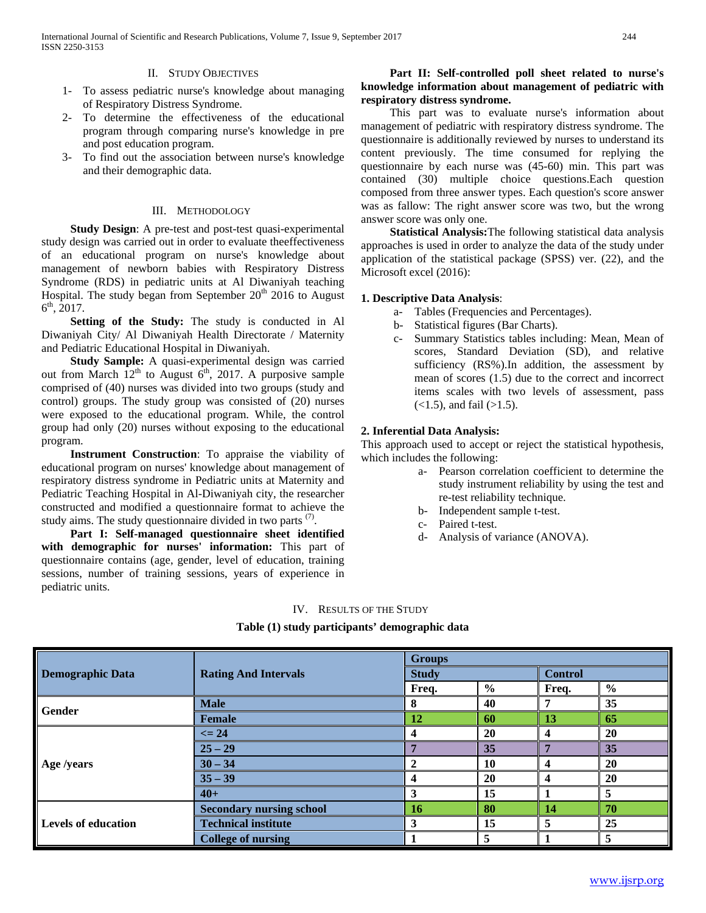#### II. STUDY OBJECTIVES

- 1- To assess pediatric nurse's knowledge about managing of Respiratory Distress Syndrome.
- 2- To determine the effectiveness of the educational program through comparing nurse's knowledge in pre and post education program.
- 3- To find out the association between nurse's knowledge and their demographic data.

#### III. METHODOLOGY

 **Study Design**: A pre-test and post-test quasi-experimental study design was carried out in order to evaluate theeffectiveness of an educational program on nurse's knowledge about management of newborn babies with Respiratory Distress Syndrome (RDS) in pediatric units at Al Diwaniyah teaching Hospital. The study began from September  $20<sup>th</sup>$  2016 to August  $6^{\text{th}}$ , 2017.

 **Setting of the Study:** The study is conducted in Al Diwaniyah City/ Al Diwaniyah Health Directorate / Maternity and Pediatric Educational Hospital in Diwaniyah.

 **Study Sample:** A quasi-experimental design was carried out from March  $12<sup>th</sup>$  to August  $6<sup>th</sup>$ , 2017. A purposive sample comprised of (40) nurses was divided into two groups (study and control) groups. The study group was consisted of (20) nurses were exposed to the educational program. While, the control group had only (20) nurses without exposing to the educational program.

 **Instrument Construction**: To appraise the viability of educational program on nurses' knowledge about management of respiratory distress syndrome in Pediatric units at Maternity and Pediatric Teaching Hospital in Al-Diwaniyah city, the researcher constructed and modified a questionnaire format to achieve the study aims. The study questionnaire divided in two parts  $(7)$ .

 **Part I: Self-managed questionnaire sheet identified with demographic for nurses' information:** This part of questionnaire contains (age, gender, level of education, training sessions, number of training sessions, years of experience in pediatric units.

## **Part II: Self-controlled poll sheet related to nurse's knowledge information about management of pediatric with respiratory distress syndrome.**

This part was to evaluate nurse's information about management of pediatric with respiratory distress syndrome. The questionnaire is additionally reviewed by nurses to understand its content previously. The time consumed for replying the questionnaire by each nurse was (45-60) min. This part was contained (30) multiple choice questions.Each question composed from three answer types. Each question's score answer was as fallow: The right answer score was two, but the wrong answer score was only one.

 **Statistical Analysis:**The following statistical data analysis approaches is used in order to analyze the data of the study under application of the statistical package (SPSS) ver. (22), and the Microsoft excel (2016):

#### **1. Descriptive Data Analysis**:

- a- Tables (Frequencies and Percentages).
- b- Statistical figures (Bar Charts).
- c- Summary Statistics tables including: Mean, Mean of scores, Standard Deviation (SD), and relative sufficiency (RS%).In addition, the assessment by mean of scores (1.5) due to the correct and incorrect items scales with two levels of assessment, pass  $(<1.5)$ , and fail  $(>1.5)$ .

#### **2. Inferential Data Analysis:**

This approach used to accept or reject the statistical hypothesis, which includes the following:

- a- Pearson correlation coefficient to determine the study instrument reliability by using the test and re-test reliability technique.
- b- Independent sample t-test.
- c- Paired t-test.
- d- Analysis of variance (ANOVA).

#### IV. RESULTS OF THE STUDY

#### **Table (1) study participants' demographic data**

|                         |                                 | <b>Groups</b>                                                                                                                                                                                                                                                                                                                                          |   |  |   |  |
|-------------------------|---------------------------------|--------------------------------------------------------------------------------------------------------------------------------------------------------------------------------------------------------------------------------------------------------------------------------------------------------------------------------------------------------|---|--|---|--|
| <b>Demographic Data</b> | <b>Rating And Intervals</b>     | <b>Study</b>                                                                                                                                                                                                                                                                                                                                           |   |  |   |  |
|                         |                                 | <b>Control</b><br>$\frac{6}{6}$<br>$\frac{6}{6}$<br>Freq.<br>Freq.<br>35<br>40<br>8<br>7<br>65<br>12<br>60<br>13<br>20<br>20<br>$\boldsymbol{4}$<br>4<br>35<br>35<br>Е<br>20<br>10<br>$\mathbf{2}$<br>$\overline{\mathbf{4}}$<br>20<br>20<br>$\boldsymbol{4}$<br>$\overline{\mathbf{4}}$<br>5<br>15<br>3<br>80<br>70<br>14<br>16<br>5<br>15<br>25<br>3 |   |  |   |  |
| Gender                  | <b>Male</b>                     |                                                                                                                                                                                                                                                                                                                                                        |   |  |   |  |
|                         | <b>Female</b>                   |                                                                                                                                                                                                                                                                                                                                                        |   |  |   |  |
|                         | $\leq$ 24                       |                                                                                                                                                                                                                                                                                                                                                        |   |  |   |  |
|                         | $25 - 29$                       |                                                                                                                                                                                                                                                                                                                                                        |   |  |   |  |
| Age /years              | $30 - 34$                       |                                                                                                                                                                                                                                                                                                                                                        |   |  |   |  |
|                         | $35 - 39$                       |                                                                                                                                                                                                                                                                                                                                                        |   |  |   |  |
|                         | $40+$                           |                                                                                                                                                                                                                                                                                                                                                        |   |  |   |  |
|                         | <b>Secondary nursing school</b> |                                                                                                                                                                                                                                                                                                                                                        |   |  |   |  |
| Levels of education     | <b>Technical institute</b>      |                                                                                                                                                                                                                                                                                                                                                        |   |  |   |  |
|                         | <b>College of nursing</b>       |                                                                                                                                                                                                                                                                                                                                                        | 5 |  | 5 |  |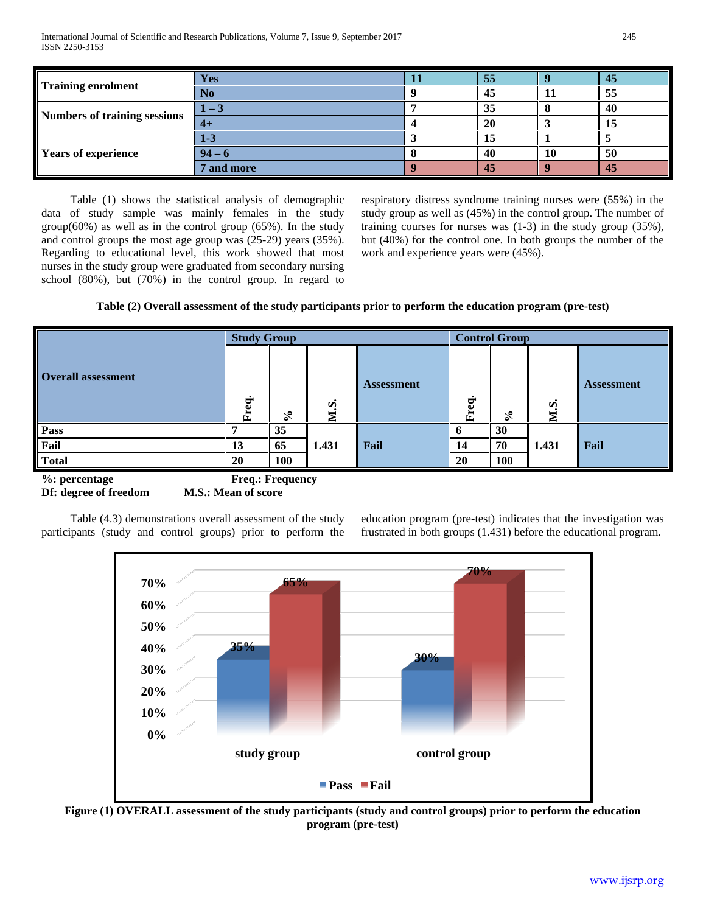International Journal of Scientific and Research Publications, Volume 7, Issue 9, September 2017 245 ISSN 2250-3153

|                              | Yes        | 55 |    | 45 |
|------------------------------|------------|----|----|----|
| <b>Training enrolment</b>    | No         | 45 |    | 55 |
|                              | $-3$       | 35 |    | 40 |
| Numbers of training sessions | $4+$       | 20 |    | ιJ |
|                              | $1 - 3$    | ıэ |    |    |
| <b>Years of experience</b>   | $94 - 1$   | 40 | 10 | 50 |
|                              | ' and more | 45 |    | 45 |

Table (1) shows the statistical analysis of demographic data of study sample was mainly females in the study group(60%) as well as in the control group (65%). In the study and control groups the most age group was (25-29) years (35%). Regarding to educational level, this work showed that most nurses in the study group were graduated from secondary nursing school (80%), but (70%) in the control group. In regard to respiratory distress syndrome training nurses were (55%) in the study group as well as (45%) in the control group. The number of training courses for nurses was (1-3) in the study group (35%), but (40%) for the control one. In both groups the number of the work and experience years were (45%).

## **Table (2) Overall assessment of the study participants prior to perform the education program (pre-test)**

|                           | <b>Study Group</b> |     |       |                   | <b>Control Group</b> |               |       |                   |
|---------------------------|--------------------|-----|-------|-------------------|----------------------|---------------|-------|-------------------|
| <b>Overall assessment</b> | Freq.              | వి  | M.S.  | <b>Assessment</b> | $\bullet$<br>Freq.   | $\mathcal{E}$ | M.S.  | <b>Assessment</b> |
| <b>Pass</b>               |                    | 35  |       |                   | o                    | 30            |       |                   |
| Fail                      | 13                 | 65  | 1.431 | Fail              | 14                   | 70            | 1.431 | Fail              |
| <b>Total</b>              | <b>20</b>          | 100 |       |                   | 20                   | 100           |       |                   |

**%: percentage Freq.: Frequency Df: degree of freedom M.S.: Mean of score** 

Table (4.3) demonstrations overall assessment of the study participants (study and control groups) prior to perform the education program (pre-test) indicates that the investigation was frustrated in both groups (1.431) before the educational program.



**Figure (1) OVERALL assessment of the study participants (study and control groups) prior to perform the education program (pre-test)**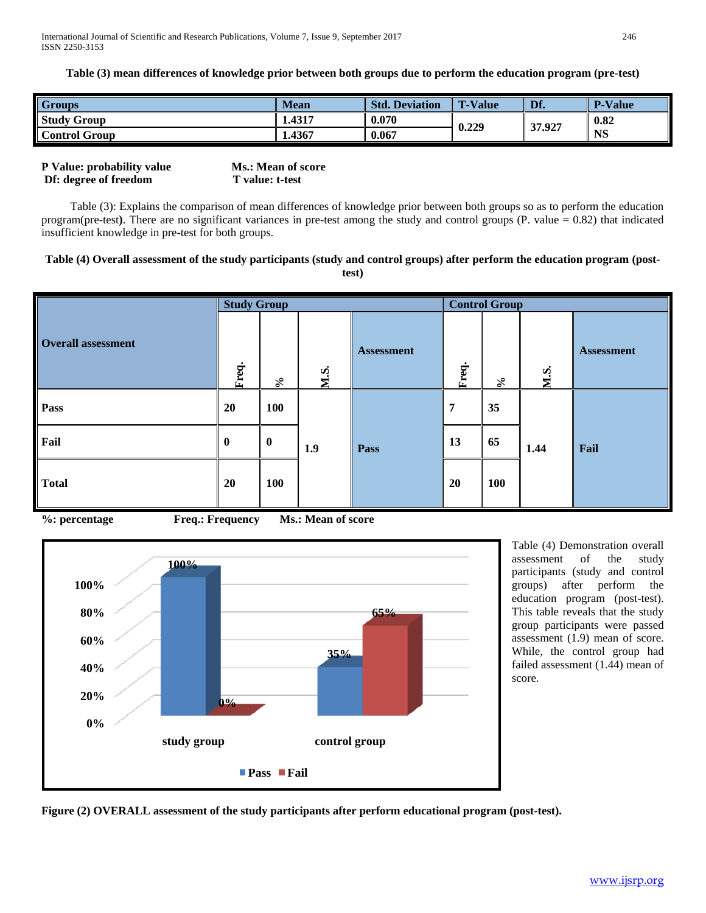**Table (3) mean differences of knowledge prior between both groups due to perform the education program (pre-test)**

| <b>Groups</b>        | <b>Mean</b> | Std.<br>. Deviation | <b>T-Value</b> | Df.    | <b>P-Value</b> |
|----------------------|-------------|---------------------|----------------|--------|----------------|
| <b>Study Group</b>   | 1.4317      | 0.070               | 0.229          | 37.927 | 0.82           |
| <b>Control Group</b> | 1.4367      | 0.067               |                |        | <b>NS</b>      |

| P Value: probability value | <b>Ms.: Mean of score</b> |
|----------------------------|---------------------------|
| Df: degree of freedom      | T value: t-test           |

Table (3): Explains the comparison of mean differences of knowledge prior between both groups so as to perform the education program(pre-test**)**. There are no significant variances in pre-test among the study and control groups (P. value = 0.82) that indicated insufficient knowledge in pre-test for both groups.

#### **Table (4) Overall assessment of the study participants (study and control groups) after perform the education program (posttest)**

|                           | <b>Study Group</b> |            |      |                   | <b>Control Group</b> |            |      |                   |
|---------------------------|--------------------|------------|------|-------------------|----------------------|------------|------|-------------------|
| <b>Overall assessment</b> | Freq.              | $\%$       | M.S. | <b>Assessment</b> | Freq.                | $\aleph$   | M.S. | <b>Assessment</b> |
| Pass                      | 20                 | <b>100</b> |      |                   | 7                    | 35         |      |                   |
| Fail                      | $\boldsymbol{0}$   | $\bf{0}$   | 1.9  | Pass              | 13                   | 65         | 1.44 | Fail              |
| <b>Total</b>              | 20                 | <b>100</b> |      |                   | 20                   | <b>100</b> |      |                   |

**%: percentage Freq.: Frequency Ms.: Mean of score**



Table (4) Demonstration overall assessment of the study participants (study and control groups) after perform the education program (post-test). This table reveals that the study group participants were passed assessment (1.9) mean of score. While, the control group had failed assessment (1.44) mean of score.

**Figure (2) OVERALL assessment of the study participants after perform educational program (post-test).**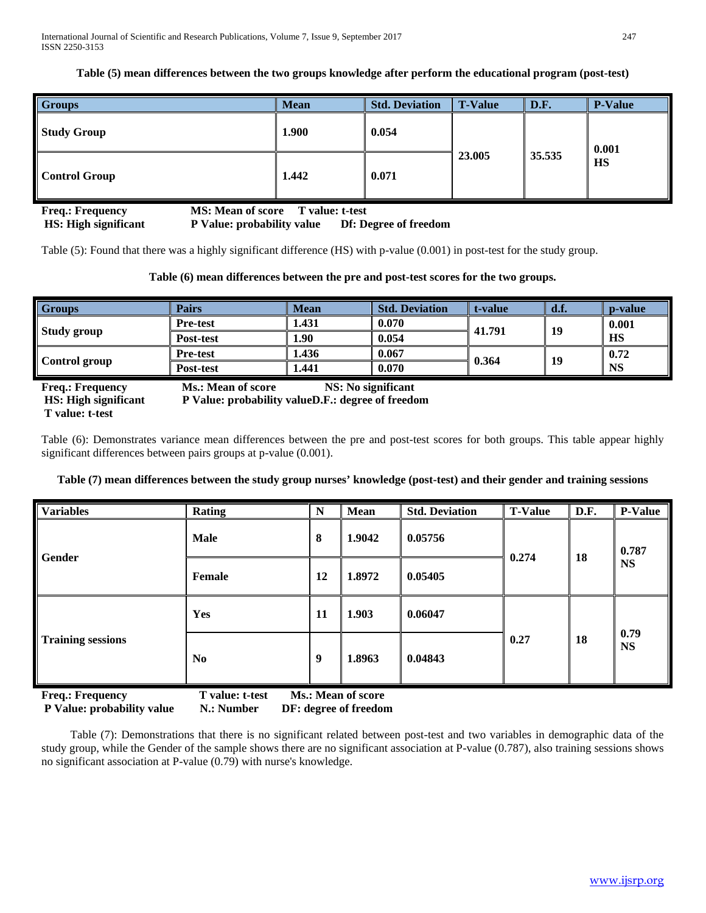**Table (5) mean differences between the two groups knowledge after perform the educational program (post-test)**

| <b>Groups</b>        | <b>Mean</b> | <b>Std. Deviation</b> | <b>T-Value</b> | D.F.   | <b>P-Value</b> |
|----------------------|-------------|-----------------------|----------------|--------|----------------|
| <b>Study Group</b>   | 1.900       | 0.054                 |                |        | 0.001          |
| <b>Control Group</b> | 1.442       | 0.071                 | 23.005         | 35.535 | <b>HS</b>      |

| <b>Freq.: Frequency</b>     | <b>MS: Mean of score</b><br>T value: t-test |                       |
|-----------------------------|---------------------------------------------|-----------------------|
| <b>HS:</b> High significant | P Value: probability value                  | Df: Degree of freedom |

Table (5): Found that there was a highly significant difference (HS) with p-value (0.001) in post-test for the study group.

## **Table (6) mean differences between the pre and post-test scores for the two groups.**

| <b>Groups</b>                                                             | Pairs                                                                                                | <b>Mean</b>        | <b>Std. Deviation</b> | t-value | d.f.      | p-value   |
|---------------------------------------------------------------------------|------------------------------------------------------------------------------------------------------|--------------------|-----------------------|---------|-----------|-----------|
|                                                                           | <b>Pre-test</b>                                                                                      | 1.431              | 0.070                 | 41.791  | 19        | 0.001     |
| Study group<br>Post-test<br><b>Pre-test</b><br>Control group<br>Post-test | 1.90                                                                                                 | 0.054              |                       |         | <b>HS</b> |           |
|                                                                           |                                                                                                      | 1.436              | 0.067                 | 0.364   | 19        | 0.72      |
|                                                                           |                                                                                                      | 1.441              | 0.070                 |         |           | <b>NS</b> |
| <b>Freq.: Frequency</b><br>HS, High significant                           | <b>Ms.: Mean of score</b><br>$\bf{D}$ Value: probability value $\bf{D}$ $\bf{F}$ : degree of freedom | NS: No significant |                       |         |           |           |

**T value: t-test**

Table (6): Demonstrates variance mean differences between the pre and post-test scores for both groups. This table appear highly significant differences between pairs groups at p-value (0.001).

## **Table (7) mean differences between the study group nurses' knowledge (post-test) and their gender and training sessions**

| <b>Variables</b>         | Rating                            | $\mathbf N$ | <b>Mean</b>        | <b>Std. Deviation</b> | <b>T-Value</b> | D.F.                                                       | <b>P-Value</b> |
|--------------------------|-----------------------------------|-------------|--------------------|-----------------------|----------------|------------------------------------------------------------|----------------|
| <b>Gender</b>            | <b>Male</b>                       | 8           | 1.9042             | 0.05756               | 0.274          | 0.787<br><b>18</b><br><b>NS</b><br>0.79<br>18<br><b>NS</b> |                |
|                          | 12<br>1.8972<br>0.05405<br>Female |             |                    |                       |                |                                                            |                |
| <b>Training sessions</b> | Yes                               | 11          | 1.903              | 0.06047               |                |                                                            |                |
|                          | N <sub>0</sub>                    | 9           | 1.8963             | 0.04843               | 0.27           |                                                            |                |
| <b>Freq.: Frequency</b>  | T value: t-test                   |             | Ms.: Mean of score |                       |                |                                                            |                |

**P Value: probability value N.: Number DF: degree of freedom** 

Table (7): Demonstrations that there is no significant related between post-test and two variables in demographic data of the study group, while the Gender of the sample shows there are no significant association at P-value (0.787), also training sessions shows no significant association at P-value (0.79) with nurse's knowledge.

**Walue: probability valueD.F.: degree of freedom**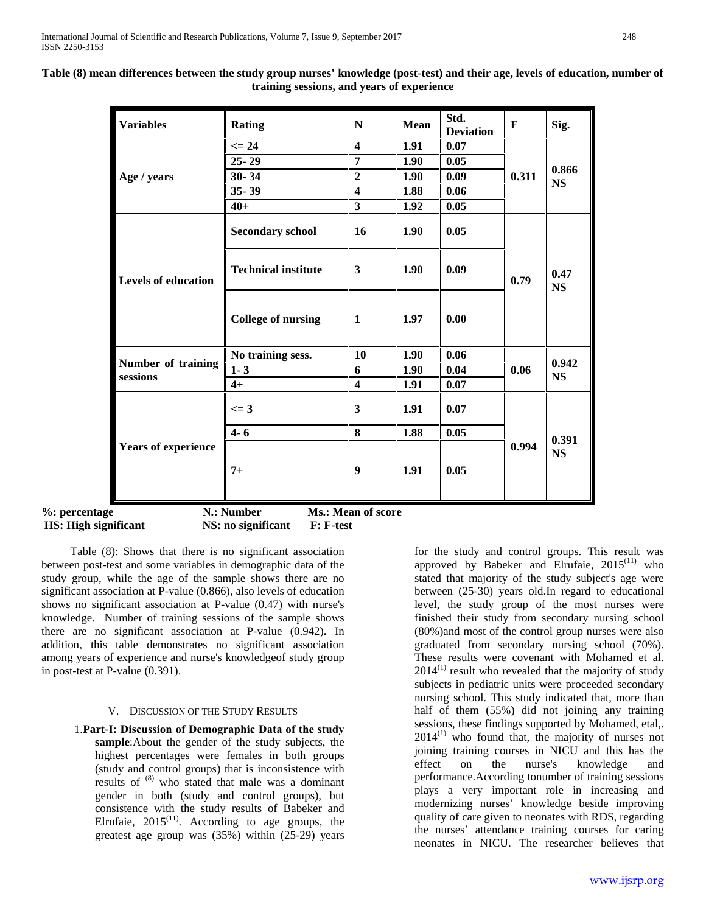| <b>Variables</b>               | <b>Rating</b>              | N                       | <b>Mean</b> | Std.<br><b>Deviation</b> | $\mathbf{F}$ | Sig.               |
|--------------------------------|----------------------------|-------------------------|-------------|--------------------------|--------------|--------------------|
|                                | $\leq$ 24                  | $\overline{\mathbf{4}}$ | 1.91        | 0.07                     |              |                    |
|                                | $25 - 29$                  | $\overline{7}$          | 1.90        | 0.05                     |              | 0.866              |
| Age / years                    | $30 - 34$                  | $\boldsymbol{2}$        | 1.90        | 0.09                     | 0.311        | <b>NS</b>          |
|                                | 35-39                      | $\overline{\mathbf{4}}$ | 1.88        | 0.06                     |              |                    |
|                                | $40+$                      | 3                       | 1.92        | 0.05                     |              |                    |
| <b>Levels of education</b>     | <b>Secondary school</b>    | 16                      | 1.90        | 0.05                     |              |                    |
|                                | <b>Technical institute</b> | $\mathbf{3}$            | 1.90        | 0.09                     | 0.79         | 0.47<br><b>NS</b>  |
|                                | <b>College of nursing</b>  | $\mathbf{1}$            | 1.97        | 0.00                     |              |                    |
|                                | No training sess.          | <b>10</b>               | 1.90        | 0.06                     |              | 0.942<br><b>NS</b> |
| Number of training<br>sessions | $1 - 3$                    | 6                       | 1.90        | 0.04                     | 0.06         |                    |
|                                | $4+$                       | $\overline{\mathbf{4}}$ | 1.91        | 0.07                     |              |                    |
|                                | $\leq$ = 3                 | 3                       | 1.91        | 0.07                     |              |                    |
|                                | $4 - 6$                    | 8                       | 1.88        | 0.05                     |              |                    |
| <b>Years of experience</b>     | $7+$                       | 9                       | 1.91        | 0.05                     | 0.994        | 0.391<br><b>NS</b> |

## **Table (8) mean differences between the study group nurses' knowledge (post-test) and their age, levels of education, number of training sessions, and years of experience**

%: percent **HS: High significant NS: no significant F: F-test** 

Table (8): Shows that there is no significant association between post-test and some variables in demographic data of the study group, while the age of the sample shows there are no significant association at P-value (0.866), also levels of education shows no significant association at P-value (0.47) with nurse's knowledge. Number of training sessions of the sample shows there are no significant association at P-value (0.942)**.** In addition, this table demonstrates no significant association among years of experience and nurse's knowledgeof study group in post-test at P-value (0.391).

## V. DISCUSSION OF THE STUDY RESULTS

1.**Part-Ι: Discussion of Demographic Data of the study sample**:About the gender of the study subjects, the highest percentages were females in both groups (study and control groups) that is inconsistence with results of (8) who stated that male was a dominant gender in both (study and control groups), but consistence with the study results of Babeker and Elrufaie,  $2015^{(11)}$ . According to age groups, the greatest age group was (35%) within (25-29) years for the study and control groups. This result was approved by Babeker and Elrufaie,  $2015^{(11)}$  who stated that majority of the study subject's age were between (25-30) years old.In regard to educational level, the study group of the most nurses were finished their study from secondary nursing school (80%)and most of the control group nurses were also graduated from secondary nursing school (70%). These results were covenant with Mohamed et al.  $2014<sup>(1)</sup>$  result who revealed that the majority of study subjects in pediatric units were proceeded secondary nursing school. This study indicated that, more than half of them (55%) did not joining any training sessions, these findings supported by Mohamed, etal,.  $2014$ <sup>(1)</sup> who found that, the majority of nurses not joining training courses in NICU and this has the effect on the nurse's knowledge and performance.According tonumber of training sessions plays a very important role in increasing and modernizing nurses' knowledge beside improving quality of care given to neonates with RDS, regarding the nurses' attendance training courses for caring neonates in NICU. The researcher believes that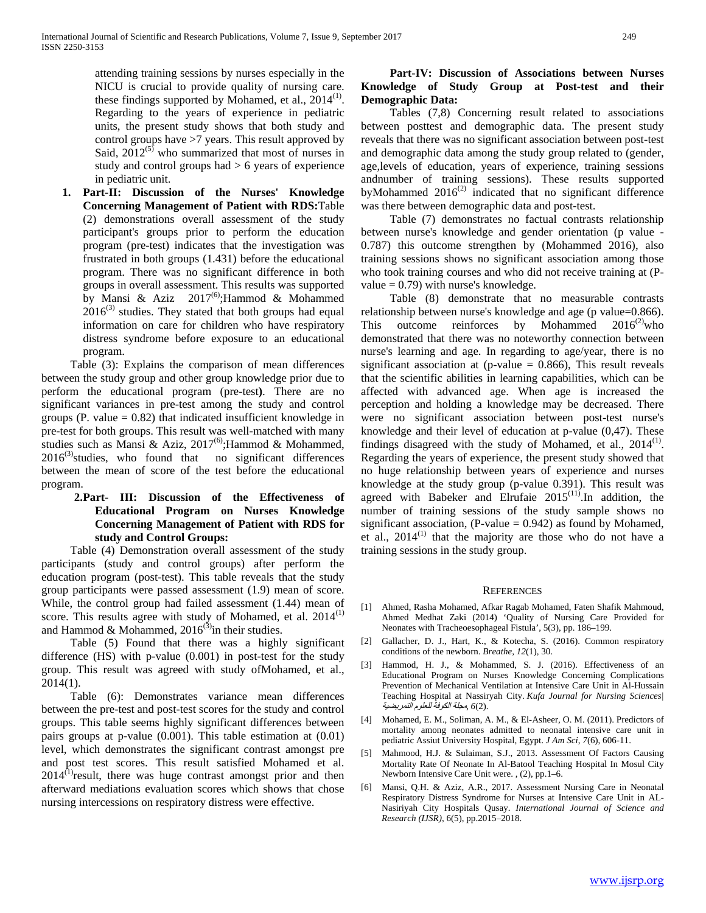attending training sessions by nurses especially in the NICU is crucial to provide quality of nursing care. these findings supported by Mohamed, et al.,  $2014$ <sup>(1)</sup>. Regarding to the years of experience in pediatric units, the present study shows that both study and control groups have >7 years. This result approved by Said,  $2012^{(5)}$  who summarized that most of nurses in study and control groups had > 6 years of experience in pediatric unit.

**1. Part-II: Discussion of the Nurses' Knowledge Concerning Management of Patient with RDS:**Table (2) demonstrations overall assessment of the study participant's groups prior to perform the education program (pre-test) indicates that the investigation was frustrated in both groups (1.431) before the educational program. There was no significant difference in both groups in overall assessment. This results was supported by Mansi & Aziz  $2017^{(6)}$ ; Hammod & Mohammed  $2016^{(3)}$  studies. They stated that both groups had equal information on care for children who have respiratory distress syndrome before exposure to an educational program.

Table (3): Explains the comparison of mean differences between the study group and other group knowledge prior due to perform the educational program (pre-test**)**. There are no significant variances in pre-test among the study and control groups (P. value  $= 0.82$ ) that indicated insufficient knowledge in pre-test for both groups. This result was well-matched with many studies such as Mansi & Aziz,  $2017^{(6)}$ ; Hammod & Mohammed,  $2016^{(3)}$ studies, who found that no significant differences between the mean of score of the test before the educational program.

## **2.Part- III: Discussion of the Effectiveness of Educational Program on Nurses Knowledge Concerning Management of Patient with RDS for study and Control Groups:**

Table (4) Demonstration overall assessment of the study participants (study and control groups) after perform the education program (post-test). This table reveals that the study group participants were passed assessment (1.9) mean of score. While, the control group had failed assessment (1.44) mean of score. This results agree with study of Mohamed, et al.  $2014$ <sup>(1)</sup> and Hammod & Mohammed,  $2016^{(3)}$  in their studies.

Table (5) Found that there was a highly significant difference (HS) with p-value (0.001) in post-test for the study group. This result was agreed with study ofMohamed, et al., 2014(1).

Table (6): Demonstrates variance mean differences between the pre-test and post-test scores for the study and control groups. This table seems highly significant differences between pairs groups at p-value (0.001). This table estimation at (0.01) level, which demonstrates the significant contrast amongst pre and post test scores. This result satisfied Mohamed et al.  $2014$ <sup>(1)</sup>result, there was huge contrast amongst prior and then afterward mediations evaluation scores which shows that chose nursing intercessions on respiratory distress were effective.

## **Part-IV: Discussion of Associations between Nurses Knowledge of Study Group at Post-test and their Demographic Data:**

Tables (7,8) Concerning result related to associations between posttest and demographic data. The present study reveals that there was no significant association between post-test and demographic data among the study group related to (gender, age,levels of education, years of experience, training sessions andnumber of training sessions). These results supported byMohammed  $2016^{(2)}$  indicated that no significant difference was there between demographic data and post-test.

Table (7) demonstrates no factual contrasts relationship between nurse's knowledge and gender orientation (p value - 0.787) this outcome strengthen by (Mohammed 2016), also training sessions shows no significant association among those who took training courses and who did not receive training at (Pvalue  $= 0.79$ ) with nurse's knowledge.

Table (8) demonstrate that no measurable contrasts relationship between nurse's knowledge and age (p value=0.866). This outcome reinforces by Mohammed  $2016^{(2)}$  who demonstrated that there was no noteworthy connection between nurse's learning and age. In regarding to age/year, there is no significant association at (p-value  $= 0.866$ ). This result reveals that the scientific abilities in learning capabilities, which can be affected with advanced age. When age is increased the perception and holding a knowledge may be decreased. There were no significant association between post-test nurse's knowledge and their level of education at p-value (0,47). These findings disagreed with the study of Mohamed, et al.,  $2014^{(1)}$ . Regarding the years of experience, the present study showed that no huge relationship between years of experience and nurses knowledge at the study group (p-value 0.391). This result was agreed with Babeker and Elrufaie  $2015^{(11)}$ . In addition, the number of training sessions of the study sample shows no significant association,  $(P-value = 0.942)$  as found by Mohamed, et al.,  $2014$ <sup>(1)</sup> that the majority are those who do not have a training sessions in the study group.

## **REFERENCES**

- [1] Ahmed, Rasha Mohamed, Afkar Ragab Mohamed, Faten Shafik Mahmoud, Ahmed Medhat Zaki (2014) 'Quality of Nursing Care Provided for Neonates with Tracheoesophageal Fistula', 5(3), pp. 186–199.
- [2] Gallacher, D. J., Hart, K., & Kotecha, S. (2016). Common respiratory conditions of the newborn. *Breathe*, *12*(1), 30.
- [3] Hammod, H. J., & Mohammed, S. J. (2016). Effectiveness of an Educational Program on Nurses Knowledge Concerning Complications Prevention of Mechanical Ventilation at Intensive Care Unit in Al-Hussain Teaching Hospital at Nassiryah City. *Kufa Journal for Nursing Sciences|*  .(2)*6* ,مجلة الكوفة للعلوم التمريضية
- [4] Mohamed, E. M., Soliman, A. M., & El-Asheer, O. M. (2011). Predictors of mortality among neonates admitted to neonatal intensive care unit in pediatric Assiut University Hospital, Egypt. *J Am Sci*, *7*(6), 606-11.
- [5] Mahmood, H.J. & Sulaiman, S.J., 2013. Assessment Of Factors Causing Mortality Rate Of Neonate In Al-Batool Teaching Hospital In Mosul City Newborn Intensive Care Unit were. , (2), pp.1–6.
- [6] Mansi, Q.H. & Aziz, A.R., 2017. Assessment Nursing Care in Neonatal Respiratory Distress Syndrome for Nurses at Intensive Care Unit in AL-Nasiriyah City Hospitals Qusay. *International Journal of Science and Research (IJSR)*, 6(5), pp.2015–2018.